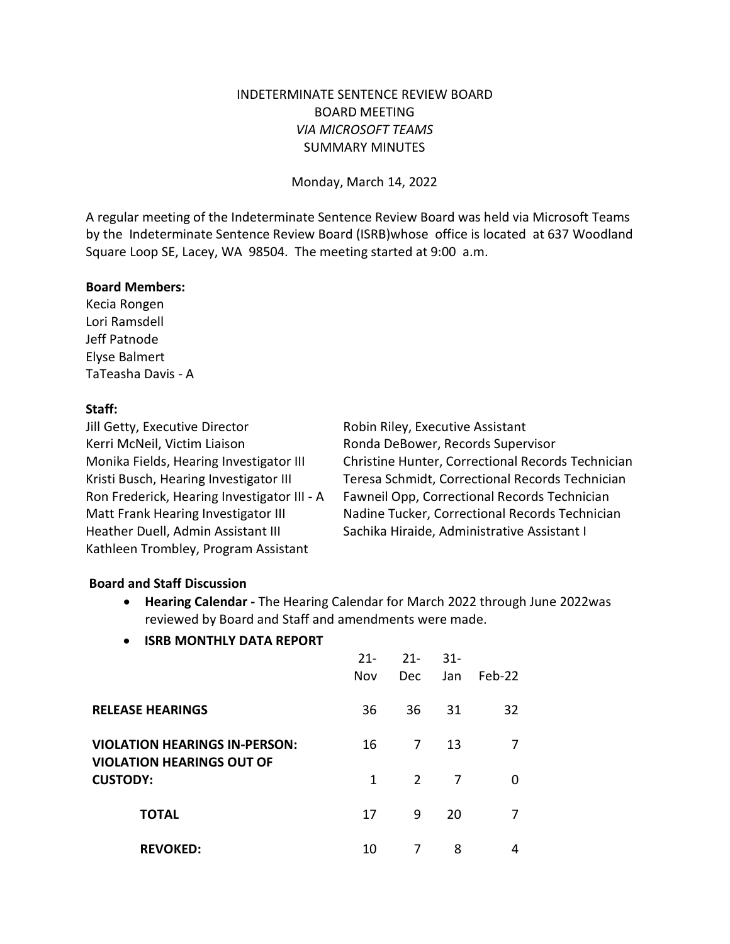# INDETERMINATE SENTENCE REVIEW BOARD BOARD MEETING *VIA MICROSOFT TEAMS* SUMMARY MINUTES

Monday, March 14, 2022

A regular meeting of the Indeterminate Sentence Review Board was held via Microsoft Teams by the Indeterminate Sentence Review Board (ISRB)whose office is located at 637 Woodland Square Loop SE, Lacey, WA 98504. The meeting started at 9:00 a.m.

#### **Board Members:**

Kecia Rongen Lori Ramsdell Jeff Patnode Elyse Balmert TaTeasha Davis - A

## **Staff:**

Jill Getty, Executive Director **Robin Riley**, Executive Assistant Kerri McNeil, Victim Liaison **Ronda DeBower, Records Supervisor** Heather Duell, Admin Assistant III Sachika Hiraide, Administrative Assistant I Kathleen Trombley, Program Assistant

Monika Fields, Hearing Investigator III Christine Hunter, Correctional Records Technician Kristi Busch, Hearing Investigator III Teresa Schmidt, Correctional Records Technician Ron Frederick, Hearing Investigator III - A Fawneil Opp, Correctional Records Technician Matt Frank Hearing Investigator III Nadine Tucker, Correctional Records Technician

### **Board and Staff Discussion**

- **Hearing Calendar** The Hearing Calendar for March 2022 through June 2022was reviewed by Board and Staff and amendments were made.
- **ISRB MONTHLY DATA REPORT**

|                                                                          | $21 -$<br>Nov | $21 -$<br><b>Dec</b> | $31-$<br>Jan | Feb-22 |
|--------------------------------------------------------------------------|---------------|----------------------|--------------|--------|
| <b>RELEASE HEARINGS</b>                                                  | 36            | 36                   | 31           | 32     |
| <b>VIOLATION HEARINGS IN-PERSON:</b><br><b>VIOLATION HEARINGS OUT OF</b> | 16            | 7                    | 13           |        |
| <b>CUSTODY:</b>                                                          | 1             | $\overline{2}$       | 7            | O      |
| <b>TOTAL</b>                                                             | 17            | 9                    | 20           | 7      |
| <b>REVOKED:</b>                                                          | 10            | 7                    | 8            | 4      |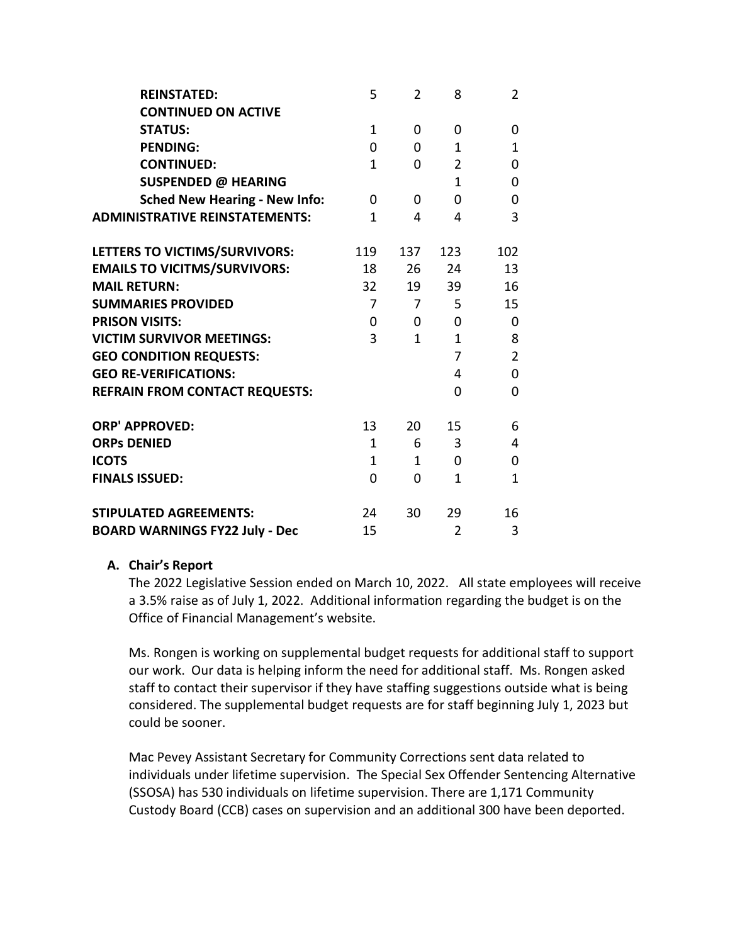| <b>REINSTATED:</b>                    | 5            | $\overline{2}$ | 8              | $\overline{2}$ |
|---------------------------------------|--------------|----------------|----------------|----------------|
| <b>CONTINUED ON ACTIVE</b>            |              |                |                |                |
| <b>STATUS:</b>                        | $\mathbf{1}$ | $\Omega$       | 0              | $\mathbf 0$    |
| <b>PENDING:</b>                       | $\Omega$     | 0              | $\mathbf{1}$   | $\mathbf{1}$   |
| <b>CONTINUED:</b>                     | $\mathbf{1}$ | 0              | $\overline{2}$ | $\pmb{0}$      |
| <b>SUSPENDED @ HEARING</b>            |              |                | $\mathbf{1}$   | $\pmb{0}$      |
| <b>Sched New Hearing - New Info:</b>  | 0            | $\Omega$       | 0              | $\pmb{0}$      |
| <b>ADMINISTRATIVE REINSTATEMENTS:</b> | $\mathbf{1}$ | 4              | 4              | 3              |
| LETTERS TO VICTIMS/SURVIVORS:         | 119          | 137            | 123            | 102            |
| <b>EMAILS TO VICITMS/SURVIVORS:</b>   | 18           | 26             | 24             | 13             |
| <b>MAIL RETURN:</b>                   | 32           | 19             | 39             | 16             |
| <b>SUMMARIES PROVIDED</b>             | 7            | 7              | 5              | 15             |
| <b>PRISON VISITS:</b>                 | 0            | $\Omega$       | 0              | $\mathbf 0$    |
| <b>VICTIM SURVIVOR MEETINGS:</b>      | 3            | $\mathbf{1}$   | $\mathbf{1}$   | 8              |
| <b>GEO CONDITION REQUESTS:</b>        |              |                | $\overline{7}$ | $\overline{2}$ |
| <b>GEO RE-VERIFICATIONS:</b>          |              |                | 4              | $\mathbf 0$    |
| <b>REFRAIN FROM CONTACT REQUESTS:</b> |              |                | 0              | $\mathbf 0$    |
| <b>ORP' APPROVED:</b>                 | 13           | 20             | 15             | 6              |
| <b>ORPs DENIED</b>                    | $\mathbf{1}$ | 6              | 3              | 4              |
| <b>ICOTS</b>                          | $\mathbf{1}$ | $\mathbf{1}$   | 0              | $\mathbf 0$    |
| <b>FINALS ISSUED:</b>                 | $\Omega$     | $\Omega$       | 1              | $\mathbf{1}$   |
| <b>STIPULATED AGREEMENTS:</b>         | 24           | 30             | 29             | 16             |
| <b>BOARD WARNINGS FY22 July - Dec</b> | 15           |                | $\overline{2}$ | 3              |

### **A. Chair's Report**

The 2022 Legislative Session ended on March 10, 2022. All state employees will receive a 3.5% raise as of July 1, 2022. Additional information regarding the budget is on the Office of Financial Management's website.

Ms. Rongen is working on supplemental budget requests for additional staff to support our work. Our data is helping inform the need for additional staff. Ms. Rongen asked staff to contact their supervisor if they have staffing suggestions outside what is being considered. The supplemental budget requests are for staff beginning July 1, 2023 but could be sooner.

Mac Pevey Assistant Secretary for Community Corrections sent data related to individuals under lifetime supervision. The Special Sex Offender Sentencing Alternative (SSOSA) has 530 individuals on lifetime supervision. There are 1,171 Community Custody Board (CCB) cases on supervision and an additional 300 have been deported.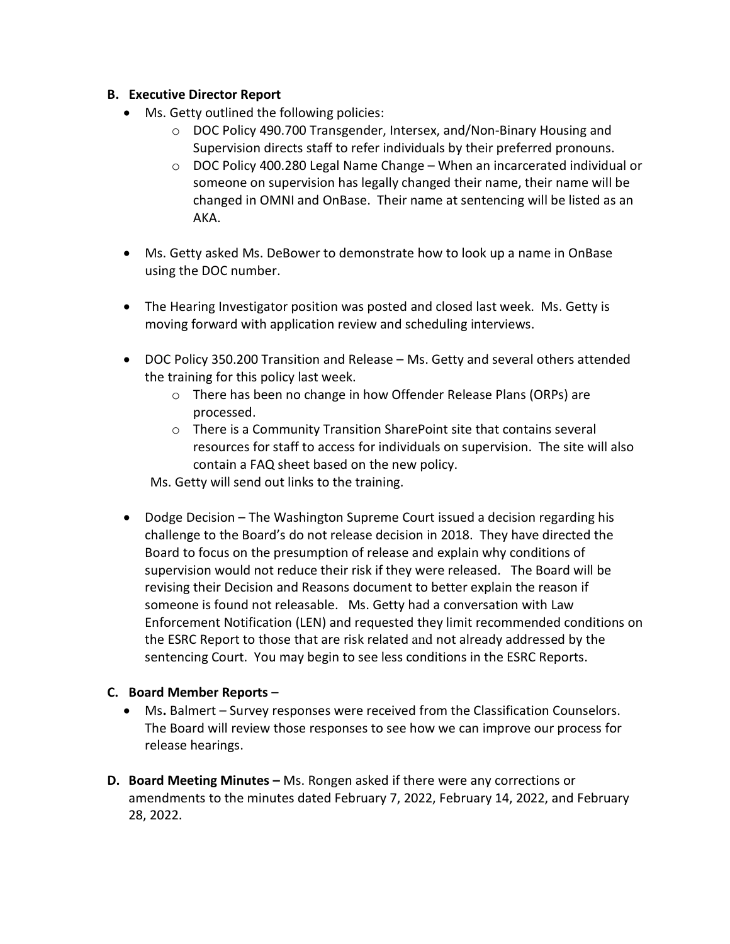## **B. Executive Director Report**

- Ms. Getty outlined the following policies:
	- o DOC Policy 490.700 Transgender, Intersex, and/Non-Binary Housing and Supervision directs staff to refer individuals by their preferred pronouns.
	- $\circ$  DOC Policy 400.280 Legal Name Change When an incarcerated individual or someone on supervision has legally changed their name, their name will be changed in OMNI and OnBase. Their name at sentencing will be listed as an AKA.
- Ms. Getty asked Ms. DeBower to demonstrate how to look up a name in OnBase using the DOC number.
- The Hearing Investigator position was posted and closed last week. Ms. Getty is moving forward with application review and scheduling interviews.
- DOC Policy 350.200 Transition and Release Ms. Getty and several others attended the training for this policy last week.
	- o There has been no change in how Offender Release Plans (ORPs) are processed.
	- o There is a Community Transition SharePoint site that contains several resources for staff to access for individuals on supervision. The site will also contain a FAQ sheet based on the new policy.

Ms. Getty will send out links to the training.

• Dodge Decision – The Washington Supreme Court issued a decision regarding his challenge to the Board's do not release decision in 2018. They have directed the Board to focus on the presumption of release and explain why conditions of supervision would not reduce their risk if they were released. The Board will be revising their Decision and Reasons document to better explain the reason if someone is found not releasable. Ms. Getty had a conversation with Law Enforcement Notification (LEN) and requested they limit recommended conditions on the ESRC Report to those that are risk related and not already addressed by the sentencing Court. You may begin to see less conditions in the ESRC Reports.

# **C. Board Member Reports** –

- Ms**.** Balmert Survey responses were received from the Classification Counselors. The Board will review those responses to see how we can improve our process for release hearings.
- **D. Board Meeting Minutes** Ms. Rongen asked if there were any corrections or amendments to the minutes dated February 7, 2022, February 14, 2022, and February 28, 2022.